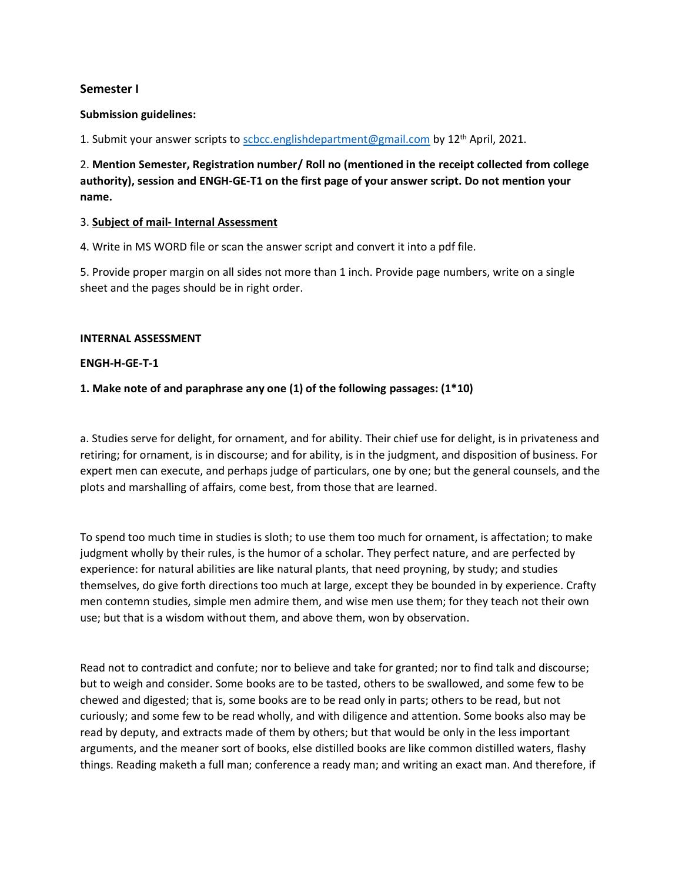# **Semester I**

### **Submission guidelines:**

1. Submit your answer scripts to  $scbcc.$ englishdepartment@gmail.com by  $12<sup>th</sup>$  April, 2021.

2. **Mention Semester, Registration number/ Roll no (mentioned in the receipt collected from college authority), session and ENGH-GE-T1 on the first page of your answer script. Do not mention your name.**

#### 3. **Subject of mail- Internal Assessment**

4. Write in MS WORD file or scan the answer script and convert it into a pdf file.

5. Provide proper margin on all sides not more than 1 inch. Provide page numbers, write on a single sheet and the pages should be in right order.

#### **INTERNAL ASSESSMENT**

#### **ENGH-H-GE-T-1**

## **1. Make note of and paraphrase any one (1) of the following passages: (1\*10)**

a. Studies serve for delight, for ornament, and for ability. Their chief use for delight, is in privateness and retiring; for ornament, is in discourse; and for ability, is in the judgment, and disposition of business. For expert men can execute, and perhaps judge of particulars, one by one; but the general counsels, and the plots and marshalling of affairs, come best, from those that are learned.

To spend too much time in studies is sloth; to use them too much for ornament, is affectation; to make judgment wholly by their rules, is the humor of a scholar. They perfect nature, and are perfected by experience: for natural abilities are like natural plants, that need proyning, by study; and studies themselves, do give forth directions too much at large, except they be bounded in by experience. Crafty men contemn studies, simple men admire them, and wise men use them; for they teach not their own use; but that is a wisdom without them, and above them, won by observation.

Read not to contradict and confute; nor to believe and take for granted; nor to find talk and discourse; but to weigh and consider. Some books are to be tasted, others to be swallowed, and some few to be chewed and digested; that is, some books are to be read only in parts; others to be read, but not curiously; and some few to be read wholly, and with diligence and attention. Some books also may be read by deputy, and extracts made of them by others; but that would be only in the less important arguments, and the meaner sort of books, else distilled books are like common distilled waters, flashy things. Reading maketh a full man; conference a ready man; and writing an exact man. And therefore, if